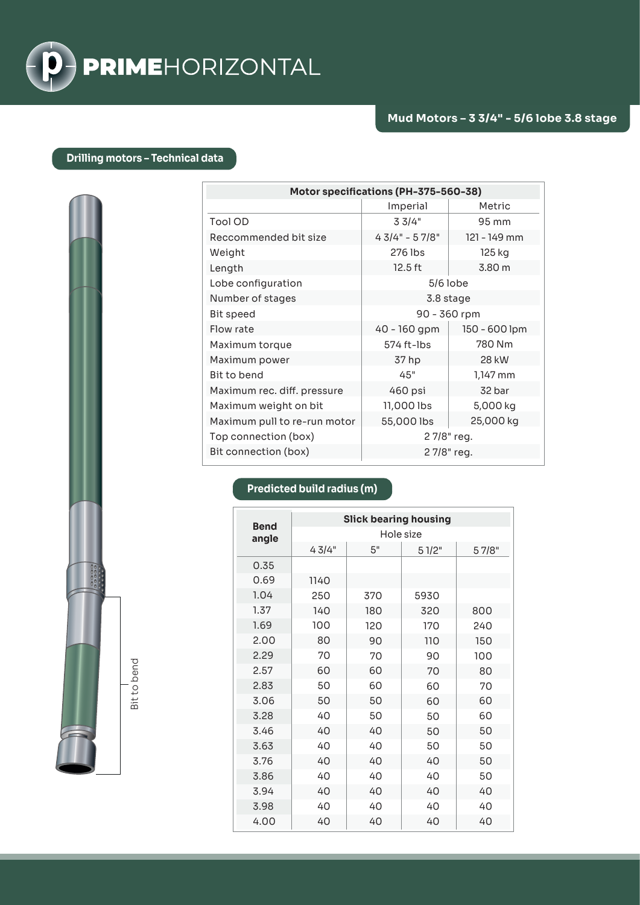

## **Drilling motors – Technical data**

| Motor specifications (PH-375-560-38) |                 |               |  |  |
|--------------------------------------|-----------------|---------------|--|--|
|                                      | Imperial        | Metric        |  |  |
| Tool OD                              | 33/4"           | 95 mm         |  |  |
| Reccommended bit size                | $43/4" - 57/8"$ | 121 - 149 mm  |  |  |
| Weight                               | 276 lbs         | 125 kg        |  |  |
| Length                               | 12.5 ft         | 3.80 m        |  |  |
| Lobe configuration                   | $5/6$ lobe      |               |  |  |
| Number of stages                     | 3.8 stage       |               |  |  |
| <b>Bit speed</b>                     | 90 - 360 rpm    |               |  |  |
| Flow rate                            | 40 - 160 gpm    | 150 - 600 lpm |  |  |
| Maximum torque                       | 574 ft-lbs      | 780 Nm        |  |  |
| Maximum power                        | 37 hp           | <b>28 kW</b>  |  |  |
| Bit to bend                          | 45"             | 1,147 mm      |  |  |
| Maximum rec. diff. pressure          | 460 psi         | 32 bar        |  |  |
| Maximum weight on bit                | 11,000 lbs      | 5,000 kg      |  |  |
| Maximum pull to re-run motor         | 55,000 lbs      | 25,000 kg     |  |  |
| Top connection (box)                 | 27/8" reg.      |               |  |  |
| Bit connection (box)                 | 27/8" reg.      |               |  |  |

## **Predicted build radius (m)**

| <b>Bend</b> | <b>Slick bearing housing</b> |     |       |       |  |
|-------------|------------------------------|-----|-------|-------|--|
| angle       | Hole size                    |     |       |       |  |
|             | 43/4"                        | 5"  | 51/2" | 57/8" |  |
| 0.35        |                              |     |       |       |  |
| 0.69        | 1140                         |     |       |       |  |
| 1.04        | 250                          | 370 | 5930  |       |  |
| 1.37        | 140                          | 180 | 320   | 800   |  |
| 1.69        | 100                          | 120 | 170   | 240   |  |
| 2.00        | 80                           | 90  | 110   | 150   |  |
| 2.29        | 70                           | 70  | 90    | 100   |  |
| 2.57        | 60                           | 60  | 70    | 80    |  |
| 2.83        | 50                           | 60  | 60    | 70    |  |
| 3.06        | 50                           | 50  | 60    | 60    |  |
| 3.28        | 40                           | 50  | 50    | 60    |  |
| 3.46        | 40                           | 40  | 50    | 50    |  |
| 3.63        | 40                           | 40  | 50    | 50    |  |
| 3.76        | 40                           | 40  | 40    | 50    |  |
| 3.86        | 40                           | 40  | 40    | 50    |  |
| 3.94        | 40                           | 40  | 40    | 40    |  |
| 3.98        | 40                           | 40  | 40    | 40    |  |
| 4.00        | 40                           | 40  | 40    | 40    |  |

Bit to bend Bit to bend